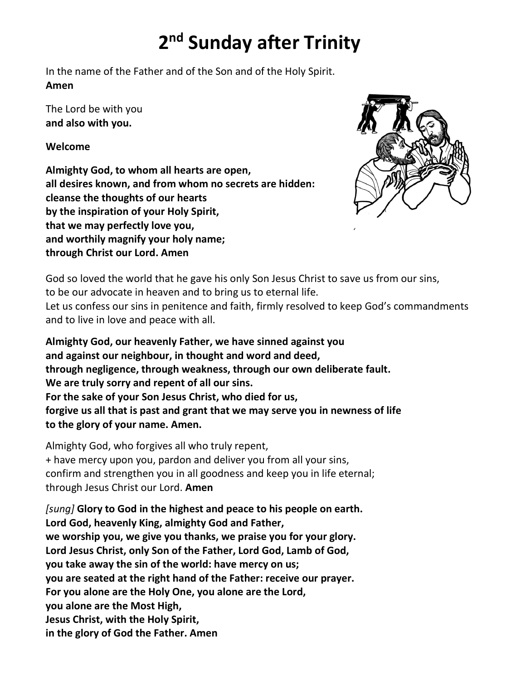# **2 nd Sunday after Trinity**

In the name of the Father and of the Son and of the Holy Spirit. **Amen** 

The Lord be with you **and also with you.** 

**Welcome** 

**Almighty God, to whom all hearts are open, all desires known, and from whom no secrets are hidden: cleanse the thoughts of our hearts by the inspiration of your Holy Spirit, that we may perfectly love you, and worthily magnify your holy name; through Christ our Lord. Amen** 



*'* 

God so loved the world that he gave his only Son Jesus Christ to save us from our sins, to be our advocate in heaven and to bring us to eternal life.

Let us confess our sins in penitence and faith, firmly resolved to keep God's commandments and to live in love and peace with all.

**Almighty God, our heavenly Father, we have sinned against you and against our neighbour, in thought and word and deed, through negligence, through weakness, through our own deliberate fault. We are truly sorry and repent of all our sins. For the sake of your Son Jesus Christ, who died for us, forgive us all that is past and grant that we may serve you in newness of life to the glory of your name. Amen.** 

Almighty God, who forgives all who truly repent, + have mercy upon you, pardon and deliver you from all your sins, confirm and strengthen you in all goodness and keep you in life eternal; through Jesus Christ our Lord. **Amen**

*[sung]* **Glory to God in the highest and peace to his people on earth. Lord God, heavenly King, almighty God and Father, we worship you, we give you thanks, we praise you for your glory. Lord Jesus Christ, only Son of the Father, Lord God, Lamb of God, you take away the sin of the world: have mercy on us; you are seated at the right hand of the Father: receive our prayer. For you alone are the Holy One, you alone are the Lord, you alone are the Most High, Jesus Christ, with the Holy Spirit, in the glory of God the Father. Amen**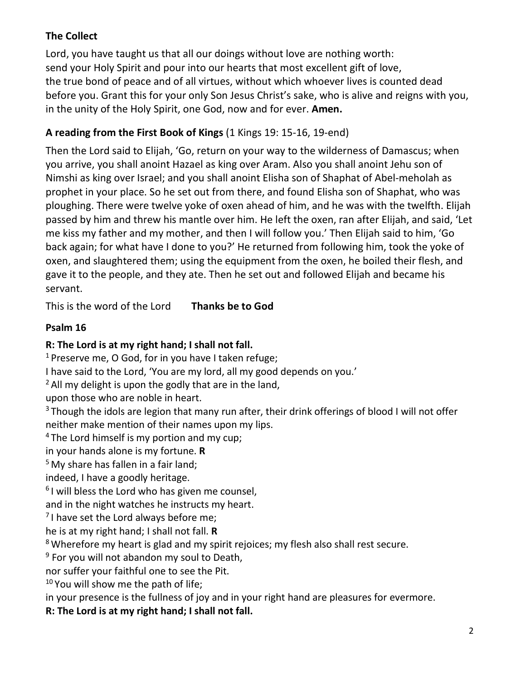# **The Collect**

Lord, you have taught us that all our doings without love are nothing worth: send your Holy Spirit and pour into our hearts that most excellent gift of love, the true bond of peace and of all virtues, without which whoever lives is counted dead before you. Grant this for your only Son Jesus Christ's sake, who is alive and reigns with you, in the unity of the Holy Spirit, one God, now and for ever. **Amen.**

# **A reading from the First Book of Kings** (1 Kings 19: 15-16, 19-end)

Then the Lord said to Elijah, 'Go, return on your way to the wilderness of Damascus; when you arrive, you shall anoint Hazael as king over Aram. Also you shall anoint Jehu son of Nimshi as king over Israel; and you shall anoint Elisha son of Shaphat of Abel-meholah as prophet in your place. So he set out from there, and found Elisha son of Shaphat, who was ploughing. There were twelve yoke of oxen ahead of him, and he was with the twelfth. Elijah passed by him and threw his mantle over him. He left the oxen, ran after Elijah, and said, 'Let me kiss my father and my mother, and then I will follow you.' Then Elijah said to him, 'Go back again; for what have I done to you?' He returned from following him, took the yoke of oxen, and slaughtered them; using the equipment from the oxen, he boiled their flesh, and gave it to the people, and they ate. Then he set out and followed Elijah and became his servant.

This is the word of the Lord **Thanks be to God**

# **Psalm 16**

# **R: The Lord is at my right hand; I shall not fall.**

<sup>1</sup> Preserve me, O God, for in you have I taken refuge;

I have said to the Lord, 'You are my lord, all my good depends on you.'

 $<sup>2</sup>$  All my delight is upon the godly that are in the land,</sup>

upon those who are noble in heart.

<sup>3</sup> Though the idols are legion that many run after, their drink offerings of blood I will not offer neither make mention of their names upon my lips.

 $4$ The Lord himself is my portion and my cup;

in your hands alone is my fortune. **R** 

<sup>5</sup> My share has fallen in a fair land;

indeed, I have a goodly heritage.

 $61$  will bless the Lord who has given me counsel,

and in the night watches he instructs my heart.

 $<sup>7</sup>$ I have set the Lord always before me;</sup>

he is at my right hand; I shall not fall. **R** 

<sup>8</sup> Wherefore my heart is glad and my spirit rejoices; my flesh also shall rest secure.

<sup>9</sup> For you will not abandon my soul to Death,

nor suffer your faithful one to see the Pit.

<sup>10</sup> You will show me the path of life;

in your presence is the fullness of joy and in your right hand are pleasures for evermore.

**R: The Lord is at my right hand; I shall not fall.**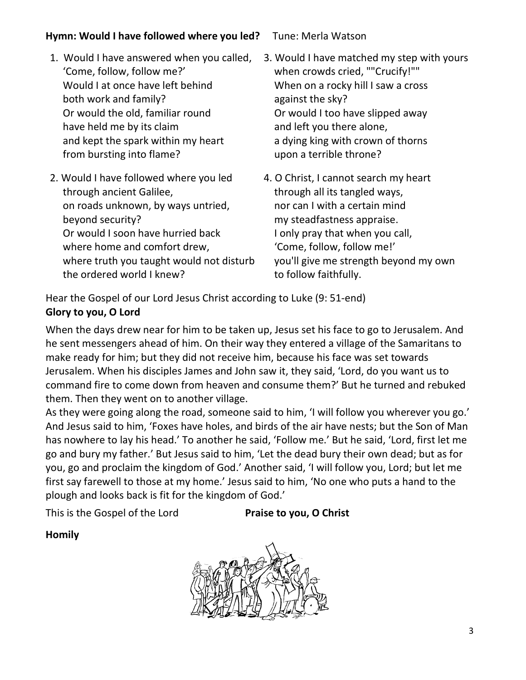# **Hymn: Would I have followed where you led?** Tune: Merla Watson

- 1. Would I have answered when you called, 'Come, follow, follow me?' Would I at once have left behind both work and family? Or would the old, familiar round have held me by its claim and kept the spark within my heart from bursting into flame?
- 2. Would I have followed where you led through ancient Galilee, on roads unknown, by ways untried, beyond security? Or would I soon have hurried back where home and comfort drew, where truth you taught would not disturb the ordered world I knew?
- 3. Would I have matched my step with yours when crowds cried, ""Crucify!"" When on a rocky hill I saw a cross against the sky? Or would I too have slipped away and left you there alone, a dying king with crown of thorns upon a terrible throne?
- 4. O Christ, I cannot search my heart through all its tangled ways, nor can I with a certain mind my steadfastness appraise. I only pray that when you call, 'Come, follow, follow me!' you'll give me strength beyond my own to follow faithfully.

Hear the Gospel of our Lord Jesus Christ according to Luke (9: 51-end) **Glory to you, O Lord** 

When the days drew near for him to be taken up, Jesus set his face to go to Jerusalem. And he sent messengers ahead of him. On their way they entered a village of the Samaritans to make ready for him; but they did not receive him, because his face was set towards Jerusalem. When his disciples James and John saw it, they said, 'Lord, do you want us to command fire to come down from heaven and consume them?' But he turned and rebuked them. Then they went on to another village.

As they were going along the road, someone said to him, 'I will follow you wherever you go.' And Jesus said to him, 'Foxes have holes, and birds of the air have nests; but the Son of Man has nowhere to lay his head.' To another he said, 'Follow me.' But he said, 'Lord, first let me go and bury my father.' But Jesus said to him, 'Let the dead bury their own dead; but as for you, go and proclaim the kingdom of God.' Another said, 'I will follow you, Lord; but let me first say farewell to those at my home.' Jesus said to him, 'No one who puts a hand to the plough and looks back is fit for the kingdom of God.'

This is the Gospel of the Lord **Praise to you, O Christ**

### **Homily**

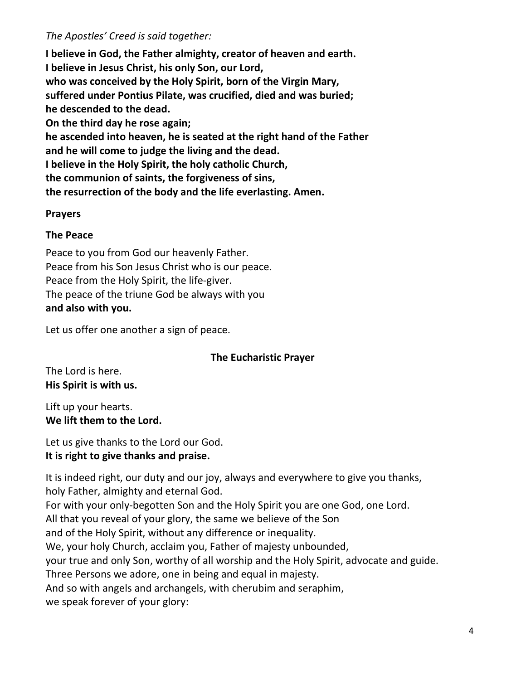# *The Apostles' Creed is said together:*

**I believe in God, the Father almighty, creator of heaven and earth. I believe in Jesus Christ, his only Son, our Lord, who was conceived by the Holy Spirit, born of the Virgin Mary, suffered under Pontius Pilate, was crucified, died and was buried; he descended to the dead. On the third day he rose again; he ascended into heaven, he is seated at the right hand of the Father and he will come to judge the living and the dead. I believe in the Holy Spirit, the holy catholic Church, the communion of saints, the forgiveness of sins, the resurrection of the body and the life everlasting. Amen.** 

### **Prayers**

## **The Peace**

Peace to you from God our heavenly Father. Peace from his Son Jesus Christ who is our peace. Peace from the Holy Spirit, the life-giver. The peace of the triune God be always with you **and also with you.** 

Let us offer one another a sign of peace.

### **The Eucharistic Prayer**

The Lord is here. **His Spirit is with us.** 

Lift up your hearts. **We lift them to the Lord.** 

Let us give thanks to the Lord our God. **It is right to give thanks and praise.** 

It is indeed right, our duty and our joy, always and everywhere to give you thanks, holy Father, almighty and eternal God. For with your only-begotten Son and the Holy Spirit you are one God, one Lord. All that you reveal of your glory, the same we believe of the Son and of the Holy Spirit, without any difference or inequality. We, your holy Church, acclaim you, Father of majesty unbounded, your true and only Son, worthy of all worship and the Holy Spirit, advocate and guide. Three Persons we adore, one in being and equal in majesty. And so with angels and archangels, with cherubim and seraphim, we speak forever of your glory: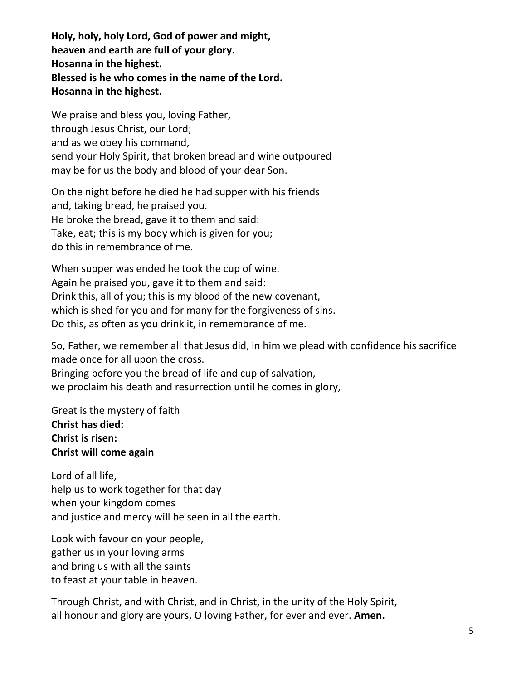**Holy, holy, holy Lord, God of power and might, heaven and earth are full of your glory. Hosanna in the highest. Blessed is he who comes in the name of the Lord. Hosanna in the highest.** 

We praise and bless you, loving Father, through Jesus Christ, our Lord; and as we obey his command, send your Holy Spirit, that broken bread and wine outpoured may be for us the body and blood of your dear Son.

On the night before he died he had supper with his friends and, taking bread, he praised you. He broke the bread, gave it to them and said: Take, eat; this is my body which is given for you; do this in remembrance of me.

When supper was ended he took the cup of wine. Again he praised you, gave it to them and said: Drink this, all of you; this is my blood of the new covenant, which is shed for you and for many for the forgiveness of sins. Do this, as often as you drink it, in remembrance of me.

So, Father, we remember all that Jesus did, in him we plead with confidence his sacrifice made once for all upon the cross.

Bringing before you the bread of life and cup of salvation, we proclaim his death and resurrection until he comes in glory,

Great is the mystery of faith **Christ has died: Christ is risen: Christ will come again** 

Lord of all life, help us to work together for that day when your kingdom comes and justice and mercy will be seen in all the earth.

Look with favour on your people, gather us in your loving arms and bring us with all the saints to feast at your table in heaven.

Through Christ, and with Christ, and in Christ, in the unity of the Holy Spirit, all honour and glory are yours, O loving Father, for ever and ever. **Amen.**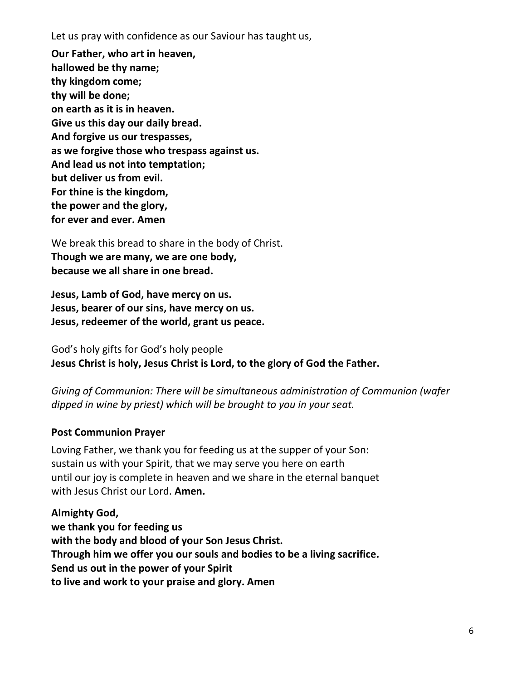Let us pray with confidence as our Saviour has taught us,

**Our Father, who art in heaven, hallowed be thy name; thy kingdom come; thy will be done; on earth as it is in heaven. Give us this day our daily bread. And forgive us our trespasses, as we forgive those who trespass against us. And lead us not into temptation; but deliver us from evil. For thine is the kingdom, the power and the glory, for ever and ever. Amen** 

We break this bread to share in the body of Christ. **Though we are many, we are one body, because we all share in one bread.** 

**Jesus, Lamb of God, have mercy on us. Jesus, bearer of our sins, have mercy on us. Jesus, redeemer of the world, grant us peace.** 

God's holy gifts for God's holy people **Jesus Christ is holy, Jesus Christ is Lord, to the glory of God the Father.** 

*Giving of Communion: There will be simultaneous administration of Communion (wafer dipped in wine by priest) which will be brought to you in your seat.* 

### **Post Communion Prayer**

Loving Father, we thank you for feeding us at the supper of your Son: sustain us with your Spirit, that we may serve you here on earth until our joy is complete in heaven and we share in the eternal banquet with Jesus Christ our Lord. **Amen.**

### **Almighty God,**

**we thank you for feeding us with the body and blood of your Son Jesus Christ. Through him we offer you our souls and bodies to be a living sacrifice. Send us out in the power of your Spirit to live and work to your praise and glory. Amen**